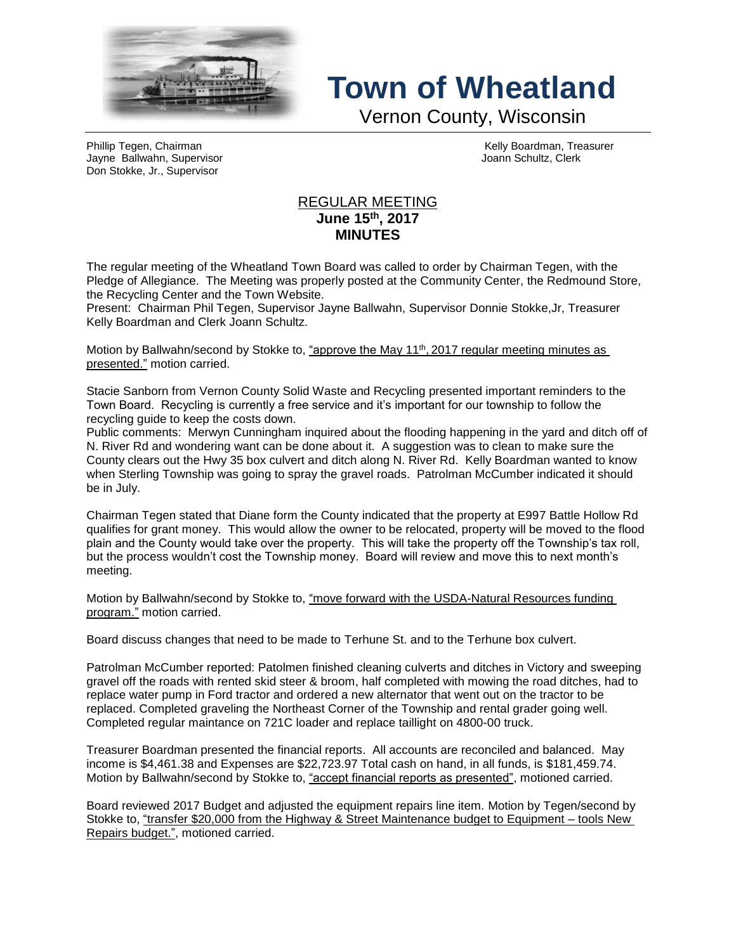

## **Town of Wheatland**

Vernon County, Wisconsin

Phillip Tegen, Chairman Kelly Boardman, Treasurer Jayne Ballwahn, Supervisor Joann Schultz, Clerk Don Stokke, Jr., Supervisor

## REGULAR MEETING **June 15th , 2017 MINUTES**

The regular meeting of the Wheatland Town Board was called to order by Chairman Tegen, with the Pledge of Allegiance. The Meeting was properly posted at the Community Center, the Redmound Store, the Recycling Center and the Town Website.

Present: Chairman Phil Tegen, Supervisor Jayne Ballwahn, Supervisor Donnie Stokke,Jr, Treasurer Kelly Boardman and Clerk Joann Schultz.

Motion by Ballwahn/second by Stokke to, <u>"approve the May 11<sup>th</sup>, 2017 regular meeting minutes as</u> presented." motion carried.

Stacie Sanborn from Vernon County Solid Waste and Recycling presented important reminders to the Town Board. Recycling is currently a free service and it's important for our township to follow the recycling guide to keep the costs down.

Public comments: Merwyn Cunningham inquired about the flooding happening in the yard and ditch off of N. River Rd and wondering want can be done about it. A suggestion was to clean to make sure the County clears out the Hwy 35 box culvert and ditch along N. River Rd. Kelly Boardman wanted to know when Sterling Township was going to spray the gravel roads. Patrolman McCumber indicated it should be in July.

Chairman Tegen stated that Diane form the County indicated that the property at E997 Battle Hollow Rd qualifies for grant money. This would allow the owner to be relocated, property will be moved to the flood plain and the County would take over the property. This will take the property off the Township's tax roll, but the process wouldn't cost the Township money. Board will review and move this to next month's meeting.

Motion by Ballwahn/second by Stokke to, "move forward with the USDA-Natural Resources funding program." motion carried.

Board discuss changes that need to be made to Terhune St. and to the Terhune box culvert.

Patrolman McCumber reported: Patolmen finished cleaning culverts and ditches in Victory and sweeping gravel off the roads with rented skid steer & broom, half completed with mowing the road ditches, had to replace water pump in Ford tractor and ordered a new alternator that went out on the tractor to be replaced. Completed graveling the Northeast Corner of the Township and rental grader going well. Completed regular maintance on 721C loader and replace taillight on 4800-00 truck.

Treasurer Boardman presented the financial reports. All accounts are reconciled and balanced. May income is \$4,461.38 and Expenses are \$22,723.97 Total cash on hand, in all funds, is \$181,459.74. Motion by Ballwahn/second by Stokke to, "accept financial reports as presented", motioned carried.

Board reviewed 2017 Budget and adjusted the equipment repairs line item. Motion by Tegen/second by Stokke to, "transfer \$20,000 from the Highway & Street Maintenance budget to Equipment – tools New Repairs budget.", motioned carried.